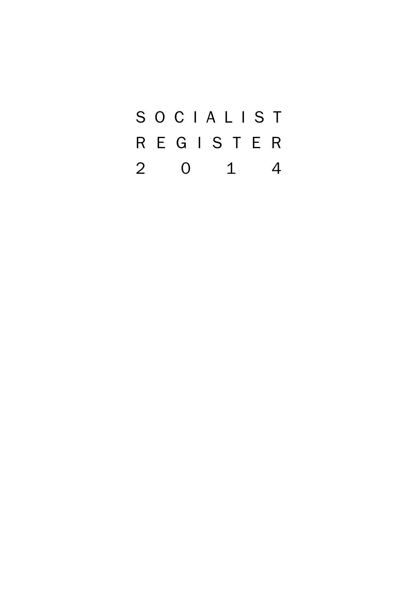SOCIALIST REGISTER 2014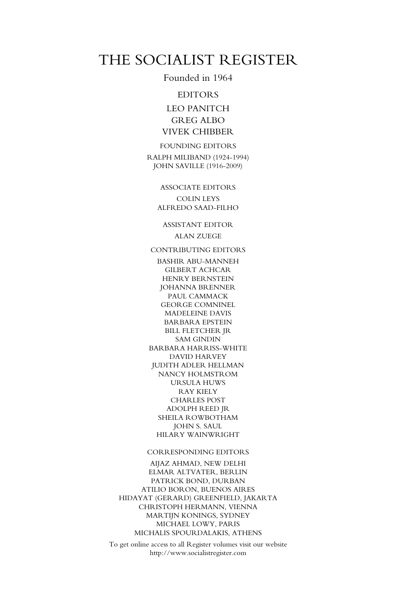### THE SOCIALIST REGISTER

Founded in 1964

### EDITORS

LEO PANITCH GREG ALBO VIVEK CHIBBER

FOUNDING EDITORS RALPH MILIBAND (1924-1994) JOHN SAVILLE (1916-2009)

> ASSOCIATE EDITORS COLIN LEYS ALFREDO SAAD-FILHO

ASSISTANT EDITOR ALAN ZUEGE

CONTRIBUTING EDITORS

BASHIR ABU-MANNEH GILBERT ACHCAR HENRY BERNSTEIN JOHANNA BRENNER PAUL CAMMACK GEORGE COMNINEL MADELEINE DAVIS BARBARA EPSTEIN BILL FLETCHER JR SAM GINDIN BARBARA HARRISS-WHITE DAVID HARVEY JUDITH ADLER HELLMAN NANCY HOLMSTROM URSULA HUWS RAY KIELY CHARLES POST ADOLPH REED JR SHEILA ROWBOTHAM JOHN S. SAUL HILARY WAINWRIGHT

#### CORRESPONDING EDITORS

AIJAZ AHMAD, NEW DELHI ELMAR ALTVATER, BERLIN PATRICK BOND, DURBAN ATILIO BORON, BUENOS AIRES HIDAYAT (GERARD) GREENFIELD, JAKARTA CHRISTOPH HERMANN, VIENNA MARTIJN KONINGS, SYDNEY MICHAEL LOWY, PARIS MICHALIS SPOURDALAKIS, ATHENS

To get online access to all Register volumes visit our website http://www.socialistregister.com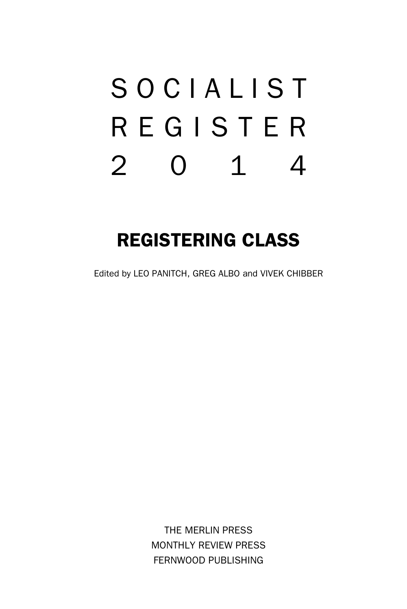# SOCIALIST REGISTER 2014

# REGISTERING CLASS

Edited by LEO PANITCH, GREG ALBO and VIVEK CHIBBER

THE MERLIN PRESS MONTHLY REVIEW PRESS FERNWOOD PUBLISHING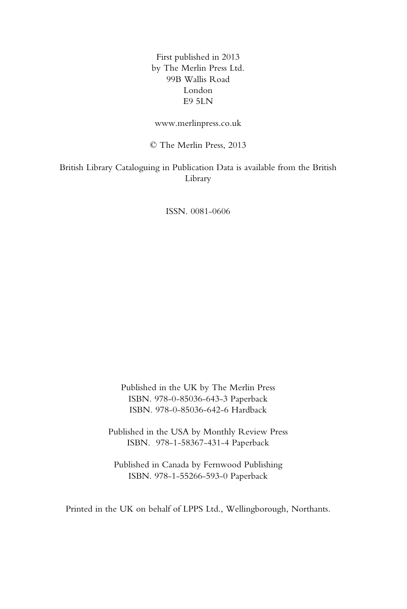First published in 2013 by The Merlin Press Ltd. 99B Wallis Road London E9 5LN

www.merlinpress.co.uk

© The Merlin Press, 2013

British Library Cataloguing in Publication Data is available from the British Library

ISSN. 0081-0606

Published in the UK by The Merlin Press ISBN. 978-0-85036-643-3 Paperback ISBN. 978-0-85036-642-6 Hardback

Published in the USA by Monthly Review Press ISBN. 978-1-58367-431-4 Paperback

Published in Canada by Fernwood Publishing ISBN. 978-1-55266-593-0 Paperback

Printed in the UK on behalf of LPPS Ltd., Wellingborough, Northants.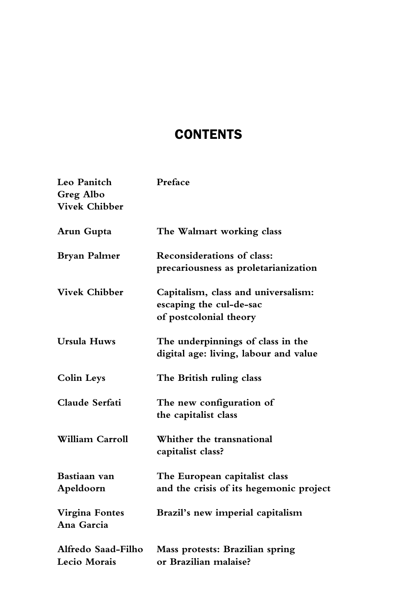# **CONTENTS**

| Leo Panitch<br><b>Greg Albo</b><br><b>Vivek Chibber</b> | Preface                                                                                  |
|---------------------------------------------------------|------------------------------------------------------------------------------------------|
| Arun Gupta                                              | The Walmart working class                                                                |
| <b>Bryan Palmer</b>                                     | Reconsiderations of class:<br>precariousness as proletarianization                       |
| <b>Vivek Chibber</b>                                    | Capitalism, class and universalism:<br>escaping the cul-de-sac<br>of postcolonial theory |
| <b>Ursula Huws</b>                                      | The underpinnings of class in the<br>digital age: living, labour and value               |
| <b>Colin Leys</b>                                       | The British ruling class                                                                 |
| Claude Serfati                                          | The new configuration of<br>the capitalist class                                         |
| William Carroll                                         | Whither the transnational<br>capitalist class?                                           |
| Bastiaan van<br>Apeldoorn                               | The European capitalist class<br>and the crisis of its hegemonic project                 |
| Virgina Fontes<br>Ana Garcia                            | Brazil's new imperial capitalism                                                         |
| Alfredo Saad-Filho<br>Lecio Morais                      | Mass protests: Brazilian spring<br>or Brazilian malaise?                                 |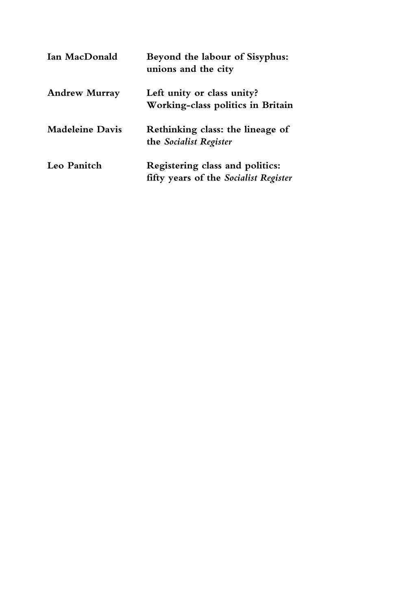| Ian MacDonald          | Beyond the labour of Sisyphus:<br>unions and the city                    |
|------------------------|--------------------------------------------------------------------------|
| <b>Andrew Murray</b>   | Left unity or class unity?<br>Working-class politics in Britain          |
| <b>Madeleine Davis</b> | Rethinking class: the lineage of<br>the Socialist Register               |
| Leo Panitch            | Registering class and politics:<br>fifty years of the Socialist Register |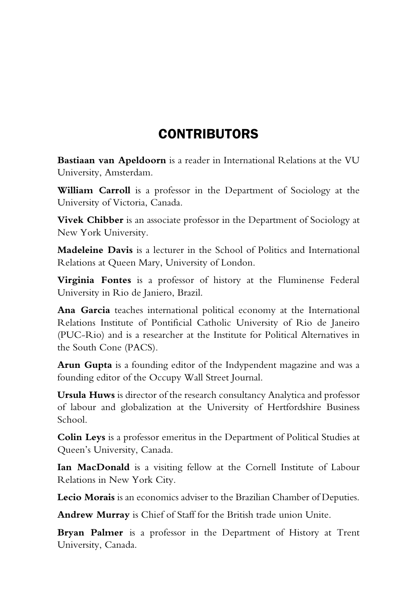## **CONTRIBUTORS**

**Bastiaan van Apeldoorn** is a reader in International Relations at the VU University, Amsterdam.

**William Carroll** is a professor in the Department of Sociology at the University of Victoria, Canada.

**Vivek Chibber** is an associate professor in the Department of Sociology at New York University.

**Madeleine Davis** is a lecturer in the School of Politics and International Relations at Queen Mary, University of London.

**Virginia Fontes** is a professor of history at the Fluminense Federal University in Rio de Janiero, Brazil.

**Ana Garcia** teaches international political economy at the International Relations Institute of Pontificial Catholic University of Rio de Janeiro (PUC-Rio) and is a researcher at the Institute for Political Alternatives in the South Cone (PACS).

**Arun Gupta** is a founding editor of the Indypendent magazine and was a founding editor of the Occupy Wall Street Journal.

**Ursula Huws** is director of the research consultancy Analytica and professor of labour and globalization at the University of Hertfordshire Business School.

**Colin Leys** is a professor emeritus in the Department of Political Studies at Queen's University, Canada.

**Ian MacDonald** is a visiting fellow at the Cornell Institute of Labour Relations in New York City.

**Lecio Morais** is an economics adviser to the Brazilian Chamber of Deputies.

**Andrew Murray** is Chief of Staff for the British trade union Unite.

**Bryan Palmer** is a professor in the Department of History at Trent University, Canada.